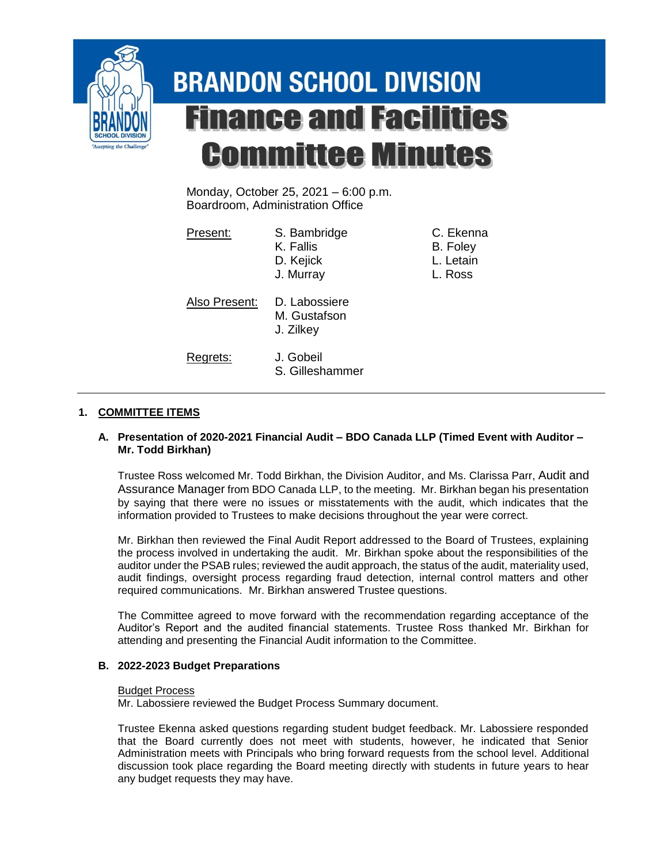

# **BRANDON SCHOOL DIVISION Finance and Facilities Committee Minutes**

Monday, October 25, 2021 – 6:00 p.m. Boardroom, Administration Office

| Present:      | S. Bambridge<br>K. Fallis<br>D. Kejick<br>J. Murray | C. Ekenna<br>B. Foley<br>L. Letain<br>L. Ross |
|---------------|-----------------------------------------------------|-----------------------------------------------|
| Also Present: | D. Labossiere<br>M. Gustafson<br>J. Zilkey          |                                               |
| Regrets:      | J. Gobeil<br>S. Gilleshammer                        |                                               |

# **1. COMMITTEE ITEMS**

## **A. Presentation of 2020-2021 Financial Audit – BDO Canada LLP (Timed Event with Auditor – Mr. Todd Birkhan)**

Trustee Ross welcomed Mr. Todd Birkhan, the Division Auditor, and Ms. Clarissa Parr, Audit and Assurance Manager from BDO Canada LLP, to the meeting. Mr. Birkhan began his presentation by saying that there were no issues or misstatements with the audit, which indicates that the information provided to Trustees to make decisions throughout the year were correct.

Mr. Birkhan then reviewed the Final Audit Report addressed to the Board of Trustees, explaining the process involved in undertaking the audit. Mr. Birkhan spoke about the responsibilities of the auditor under the PSAB rules; reviewed the audit approach, the status of the audit, materiality used, audit findings, oversight process regarding fraud detection, internal control matters and other required communications. Mr. Birkhan answered Trustee questions.

The Committee agreed to move forward with the recommendation regarding acceptance of the Auditor's Report and the audited financial statements. Trustee Ross thanked Mr. Birkhan for attending and presenting the Financial Audit information to the Committee.

# **B. 2022-2023 Budget Preparations**

## Budget Process

Mr. Labossiere reviewed the Budget Process Summary document.

Trustee Ekenna asked questions regarding student budget feedback. Mr. Labossiere responded that the Board currently does not meet with students, however, he indicated that Senior Administration meets with Principals who bring forward requests from the school level. Additional discussion took place regarding the Board meeting directly with students in future years to hear any budget requests they may have.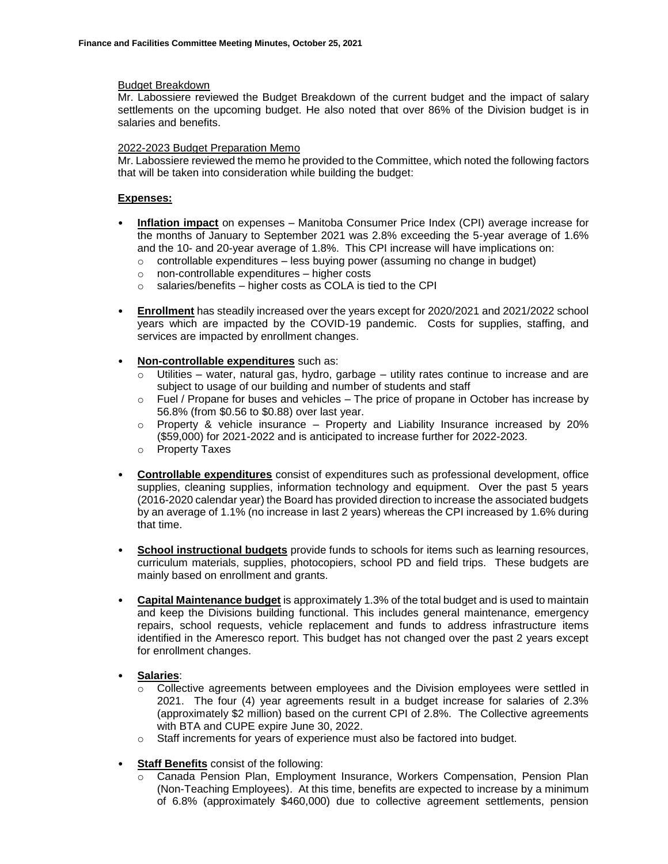#### Budget Breakdown

Mr. Labossiere reviewed the Budget Breakdown of the current budget and the impact of salary settlements on the upcoming budget. He also noted that over 86% of the Division budget is in salaries and benefits.

#### 2022-2023 Budget Preparation Memo

Mr. Labossiere reviewed the memo he provided to the Committee, which noted the following factors that will be taken into consideration while building the budget:

#### **Expenses:**

- **Inflation impact** on expenses Manitoba Consumer Price Index (CPI) average increase for the months of January to September 2021 was 2.8% exceeding the 5-year average of 1.6% and the 10- and 20-year average of 1.8%. This CPI increase will have implications on:
	- $\circ$  controllable expenditures less buying power (assuming no change in budget)
	- o non-controllable expenditures higher costs
	- $\circ$  salaries/benefits higher costs as COLA is tied to the CPI
- **Enrollment** has steadily increased over the years except for 2020/2021 and 2021/2022 school years which are impacted by the COVID-19 pandemic. Costs for supplies, staffing, and services are impacted by enrollment changes.
- **Non-controllable expenditures** such as:
	- $\circ$  Utilities water, natural gas, hydro, garbage utility rates continue to increase and are subject to usage of our building and number of students and staff
	- $\circ$  Fuel / Propane for buses and vehicles The price of propane in October has increase by 56.8% (from \$0.56 to \$0.88) over last year.
	- $\circ$  Property & vehicle insurance Property and Liability Insurance increased by 20% (\$59,000) for 2021-2022 and is anticipated to increase further for 2022-2023.
	- o Property Taxes
- **Controllable expenditures** consist of expenditures such as professional development, office supplies, cleaning supplies, information technology and equipment. Over the past 5 years (2016-2020 calendar year) the Board has provided direction to increase the associated budgets by an average of 1.1% (no increase in last 2 years) whereas the CPI increased by 1.6% during that time.
- **School instructional budgets** provide funds to schools for items such as learning resources, curriculum materials, supplies, photocopiers, school PD and field trips. These budgets are mainly based on enrollment and grants.
- **Capital Maintenance budget** is approximately 1.3% of the total budget and is used to maintain and keep the Divisions building functional. This includes general maintenance, emergency repairs, school requests, vehicle replacement and funds to address infrastructure items identified in the Ameresco report. This budget has not changed over the past 2 years except for enrollment changes.
- **Salaries**:
	- Collective agreements between employees and the Division employees were settled in 2021. The four (4) year agreements result in a budget increase for salaries of 2.3% (approximately \$2 million) based on the current CPI of 2.8%. The Collective agreements with BTA and CUPE expire June 30, 2022.
	- o Staff increments for years of experience must also be factored into budget.
- **Staff Benefits** consist of the following:
	- o Canada Pension Plan, Employment Insurance, Workers Compensation, Pension Plan (Non-Teaching Employees). At this time, benefits are expected to increase by a minimum of 6.8% (approximately \$460,000) due to collective agreement settlements, pension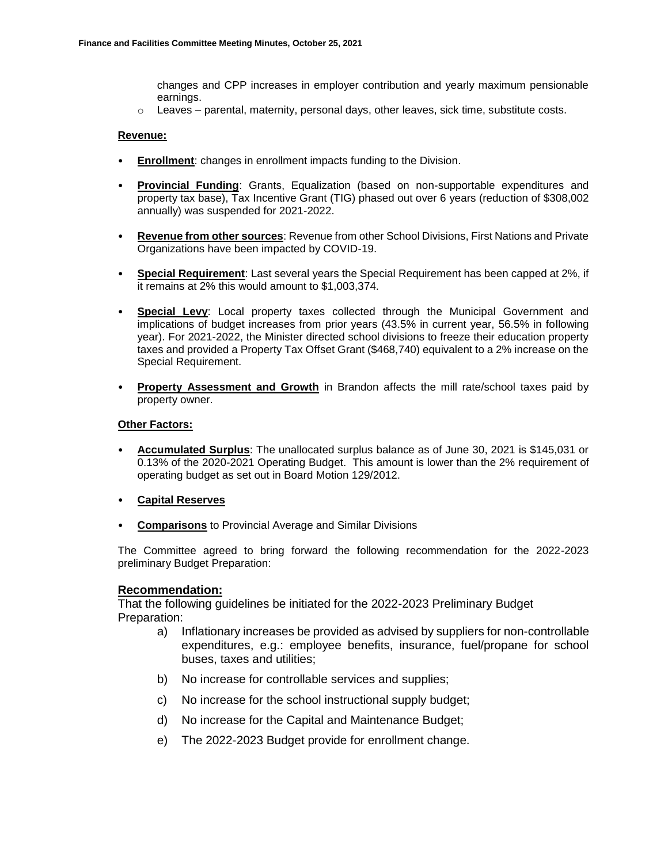changes and CPP increases in employer contribution and yearly maximum pensionable earnings.

 $\circ$  Leaves – parental, maternity, personal days, other leaves, sick time, substitute costs.

#### **Revenue:**

- **Enrollment**: changes in enrollment impacts funding to the Division.
- **Provincial Funding**: Grants, Equalization (based on non-supportable expenditures and property tax base), Tax Incentive Grant (TIG) phased out over 6 years (reduction of \$308,002 annually) was suspended for 2021-2022.
- **Revenue from other sources**: Revenue from other School Divisions, First Nations and Private Organizations have been impacted by COVID-19.
- **Special Requirement**: Last several years the Special Requirement has been capped at 2%, if it remains at 2% this would amount to \$1,003,374.
- **Special Levy**: Local property taxes collected through the Municipal Government and implications of budget increases from prior years (43.5% in current year, 56.5% in following year). For 2021-2022, the Minister directed school divisions to freeze their education property taxes and provided a Property Tax Offset Grant (\$468,740) equivalent to a 2% increase on the Special Requirement.
- **Property Assessment and Growth** in Brandon affects the mill rate/school taxes paid by property owner.

#### **Other Factors:**

- **Accumulated Surplus**: The unallocated surplus balance as of June 30, 2021 is \$145,031 or 0.13% of the 2020-2021 Operating Budget. This amount is lower than the 2% requirement of operating budget as set out in Board Motion 129/2012.
- **Capital Reserves**
- **Comparisons** to Provincial Average and Similar Divisions

The Committee agreed to bring forward the following recommendation for the 2022-2023 preliminary Budget Preparation:

## **Recommendation:**

That the following guidelines be initiated for the 2022-2023 Preliminary Budget Preparation:

- a) Inflationary increases be provided as advised by suppliers for non-controllable expenditures, e.g.: employee benefits, insurance, fuel/propane for school buses, taxes and utilities;
- b) No increase for controllable services and supplies;
- c) No increase for the school instructional supply budget;
- d) No increase for the Capital and Maintenance Budget;
- e) The 2022-2023 Budget provide for enrollment change.